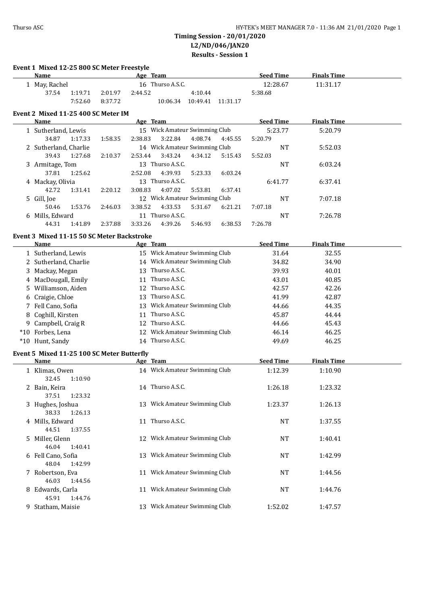| Event 1 Mixed 12-25 800 SC Meter Freestyle<br>Name |         |         |         | Age Team                      |          |          | <b>Seed Time</b> | <b>Finals Time</b> |         |
|----------------------------------------------------|---------|---------|---------|-------------------------------|----------|----------|------------------|--------------------|---------|
| 1 May, Rachel                                      |         |         |         | 16 Thurso A.S.C.              |          |          | 12:28.67         | 11:31.17           |         |
| 37.54                                              | 1:19.71 | 2:01.97 | 2:44.52 |                               | 4:10.44  |          | 5:38.68          |                    |         |
|                                                    | 7:52.60 | 8:37.72 |         | 10:06.34                      | 10:49.41 | 11:31.17 |                  |                    |         |
| Event 2 Mixed 11-25 400 SC Meter IM                |         |         |         |                               |          |          |                  |                    |         |
| <b>Name</b>                                        |         |         |         | Age Team                      |          |          | <b>Seed Time</b> | <b>Finals Time</b> |         |
| 1 Sutherland, Lewis                                |         |         |         | 15 Wick Amateur Swimming Club |          |          | 5:23.77          |                    | 5:20.79 |
| 34.87                                              | 1:17.33 | 1:58.35 | 2:38.83 | 3:22.84                       | 4:08.74  | 4:45.55  | 5:20.79          |                    |         |
| 2 Sutherland, Charlie                              |         |         |         | 14 Wick Amateur Swimming Club |          |          | <b>NT</b>        |                    | 5:52.03 |
| 39.43                                              | 1:27.68 | 2:10.37 | 2:53.44 | 3:43.24                       | 4:34.12  | 5:15.43  | 5:52.03          |                    |         |
| 3 Armitage, Tom                                    |         |         |         | 13 Thurso A.S.C.              |          |          | <b>NT</b>        |                    | 6:03.24 |
| 37.81                                              | 1:25.62 |         | 2:52.08 | 4:39.93                       | 5:23.33  | 6:03.24  |                  |                    |         |
| 4 Mackay, Olivia                                   |         |         |         | 13 Thurso A.S.C.              |          |          | 6:41.77          |                    | 6:37.41 |
| 42.72                                              | 1:31.41 | 2:20.12 | 3:08.83 | 4:07.02                       | 5:53.81  | 6:37.41  |                  |                    |         |
| 5 Gill, Joe                                        |         |         |         | 12 Wick Amateur Swimming Club |          |          | NT               |                    | 7:07.18 |
| 50.46                                              | 1:53.76 | 2:46.03 | 3:38.52 | 4:33.53                       | 5:31.67  | 6:21.21  | 7:07.18          |                    |         |
| 6 Mills, Edward                                    |         |         |         | 11 Thurso A.S.C.              |          |          | NT               |                    | 7:26.78 |
| 44.31                                              | 1:41.89 | 2:37.88 | 3:33.26 | 4:39.26                       | 5:46.93  | 6:38.53  | 7:26.78          |                    |         |
| Event 3 Mixed 11-15 50 SC Meter Backstroke         |         |         |         |                               |          |          |                  |                    |         |
| Name                                               |         |         |         | Age Team                      |          |          | <b>Seed Time</b> | <b>Finals Time</b> |         |
| 1 Sutherland, Lewis                                |         |         |         | 15 Wick Amateur Swimming Club |          |          | 31.64            |                    | 32.55   |
| 2 Sutherland, Charlie                              |         |         |         | 14 Wick Amateur Swimming Club |          |          | 34.82            |                    | 34.90   |
| 3 Mackay, Megan                                    |         |         |         | 13 Thurso A.S.C.              |          |          | 39.93            |                    | 40.01   |
| 4 MacDougall, Emily                                |         |         |         | 11 Thurso A.S.C.              |          |          | 43.01            |                    | 40.85   |
| 5 Williamson, Aiden                                |         |         |         | 12 Thurso A.S.C.              |          |          | 42.57            |                    | 42.26   |
| 6 Craigie, Chloe                                   |         |         |         | 13 Thurso A.S.C.              |          |          | 41.99            |                    | 42.87   |
| 7 Fell Cano, Sofia                                 |         |         |         | 13 Wick Amateur Swimming Club |          |          | 44.66            |                    | 44.35   |
| 8 Coghill, Kirsten                                 |         |         |         | 11 Thurso A.S.C.              |          |          | 45.87            |                    | 44.44   |
| 9 Campbell, Craig R                                |         |         |         | 12 Thurso A.S.C.              |          |          | 44.66            |                    | 45.43   |
| *10 Forbes, Lena                                   |         |         |         | 12 Wick Amateur Swimming Club |          |          | 46.14            |                    | 46.25   |
| *10 Hunt, Sandy                                    |         |         |         | 14 Thurso A.S.C.              |          |          | 49.69            |                    | 46.25   |
| Event 5 Mixed 11-25 100 SC Meter Butterfly         |         |         |         |                               |          |          |                  |                    |         |
| <b>Name</b>                                        |         |         |         | Age Team                      |          |          | <b>Seed Time</b> | <b>Finals Time</b> |         |
| 1 Klimas, Owen                                     |         |         |         | 14 Wick Amateur Swimming Club |          |          | 1:12.39          |                    | 1:10.90 |
| 32.45                                              | 1:10.90 |         |         |                               |          |          |                  |                    |         |
| 2 Bain, Keira<br>37.51                             | 1:23.32 |         |         | 14 Thurso A.S.C.              |          |          | 1:26.18          | 1:23.32            |         |
| 3 Hughes, Joshua                                   |         |         |         | 13 Wick Amateur Swimming Club |          |          | 1:23.37          |                    | 1:26.13 |
| 38.33<br>4 Mills, Edward                           | 1:26.13 |         |         | 11 Thurso A.S.C.              |          |          | NT               |                    | 1:37.55 |
| 44.51                                              | 1:37.55 |         |         |                               |          |          |                  |                    |         |
| 5 Miller, Glenn<br>46.04                           | 1:40.41 |         |         | 12 Wick Amateur Swimming Club |          |          | NT               |                    | 1:40.41 |
| 6 Fell Cano, Sofia<br>48.04                        | 1:42.99 |         |         | 13 Wick Amateur Swimming Club |          |          | NT               |                    | 1:42.99 |
| 7 Robertson, Eva                                   |         |         |         | 11 Wick Amateur Swimming Club |          |          | NT               |                    | 1:44.56 |
| 46.03<br>8 Edwards, Carla                          | 1:44.56 |         |         | 11 Wick Amateur Swimming Club |          |          | NT               |                    | 1:44.76 |
| 45.91<br>9 Statham, Maisie                         | 1:44.76 |         |         | 13 Wick Amateur Swimming Club |          |          | 1:52.02          |                    | 1:47.57 |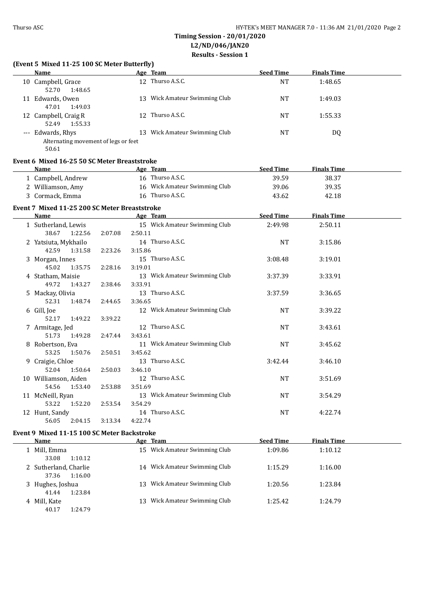#### **(Event 5 Mixed 11-25 100 SC Meter Butterfly)**

| <b>Name</b>                                                        | Age Team                          | <b>Seed Time</b> | <b>Finals Time</b> |  |
|--------------------------------------------------------------------|-----------------------------------|------------------|--------------------|--|
| 10 Campbell, Grace<br>1:48.65<br>52.70                             | 12 Thurso A.S.C.                  | NΤ               | 1:48.65            |  |
| 11 Edwards, Owen<br>1:49.03<br>47.01                               | Wick Amateur Swimming Club<br>13. | NT               | 1:49.03            |  |
| 12 Campbell, Craig R<br>1:55.33<br>52.49                           | 12 Thurso A.S.C.                  | <b>NT</b>        | 1:55.33            |  |
| --- Edwards, Rhys<br>Alternating movement of legs or feet<br>$  -$ | Wick Amateur Swimming Club<br>13. | NT               | DQ                 |  |

50.61

#### **Event 6 Mixed 16-25 50 SC Meter Breaststroke**

| <b>Name</b>                                   |         | Age Team                                 | <b>Seed Time</b> | <b>Finals Time</b> |  |
|-----------------------------------------------|---------|------------------------------------------|------------------|--------------------|--|
| 1 Campbell, Andrew                            |         | 16 Thurso A.S.C.                         | 39.59            | 38.37              |  |
| 2 Williamson, Amy                             |         | 16 Wick Amateur Swimming Club            | 39.06            | 39.35              |  |
| 3 Cormack, Emma                               |         | 16 Thurso A.S.C.                         | 43.62            | 42.18              |  |
| Event 7 Mixed 11-25 200 SC Meter Breaststroke |         |                                          |                  |                    |  |
| Name                                          |         | Age Team                                 | <b>Seed Time</b> | <b>Finals Time</b> |  |
| 1 Sutherland, Lewis<br>38.67<br>1:22.56       | 2:07.08 | 15 Wick Amateur Swimming Club<br>2:50.11 | 2:49.98          | 2:50.11            |  |
| 2 Yatsiuta, Mykhailo                          |         | 14 Thurso A.S.C.                         | <b>NT</b>        | 3:15.86            |  |
| 42.59<br>1:31.58                              | 2:23.26 | 3:15.86                                  |                  |                    |  |
| 3 Morgan, Innes                               |         | 15 Thurso A.S.C.                         | 3:08.48          | 3:19.01            |  |
| 45.02<br>1:35.75                              | 2:28.16 | 3:19.01                                  |                  |                    |  |
| 4 Statham, Maisie                             |         | 13 Wick Amateur Swimming Club            | 3:37.39          | 3:33.91            |  |
| 49.72<br>1:43.27                              | 2:38.46 | 3:33.91                                  |                  |                    |  |
| 5 Mackay, Olivia                              |         | 13 Thurso A.S.C.                         | 3:37.59          | 3:36.65            |  |
| 52.31<br>1:48.74                              | 2:44.65 | 3:36.65                                  |                  |                    |  |
| 6 Gill, Joe                                   |         | 12 Wick Amateur Swimming Club            | <b>NT</b>        | 3:39.22            |  |
| 52.17<br>1:49.22                              | 3:39.22 |                                          |                  |                    |  |
| 7 Armitage, Jed                               |         | 12 Thurso A.S.C.                         | <b>NT</b>        | 3:43.61            |  |
| 51.73<br>1:49.28                              | 2:47.44 | 3:43.61                                  |                  |                    |  |
| 8 Robertson, Eva                              |         | 11 Wick Amateur Swimming Club            | <b>NT</b>        | 3:45.62            |  |
| 53.25<br>1:50.76                              | 2:50.51 | 3:45.62                                  |                  |                    |  |
| 9 Craigie, Chloe                              |         | 13 Thurso A.S.C.                         | 3:42.44          | 3:46.10            |  |
| 52.04<br>1:50.64                              | 2:50.03 | 3:46.10                                  |                  |                    |  |
| 10 Williamson, Aiden                          |         | 12 Thurso A.S.C.                         | <b>NT</b>        | 3:51.69            |  |
| 54.56<br>1:53.40                              | 2:53.88 | 3:51.69                                  |                  |                    |  |
| 11 McNeill, Ryan                              |         | 13 Wick Amateur Swimming Club            | <b>NT</b>        | 3:54.29            |  |
| 53.22<br>1:52.20                              | 2:53.54 | 3:54.29                                  |                  |                    |  |
| 12 Hunt, Sandy                                |         | 14 Thurso A.S.C.                         | NT               | 4:22.74            |  |
| 56.05<br>2:04.15                              | 3:13.34 | 4:22.74                                  |                  |                    |  |

#### **Event 9 Mixed 11-15 100 SC Meter Backstroke**

| Name                  |         |     | Age Team                      | <b>Seed Time</b> | <b>Finals Time</b> |
|-----------------------|---------|-----|-------------------------------|------------------|--------------------|
| 1 Mill, Emma          |         |     | 15 Wick Amateur Swimming Club | 1:09.86          | 1:10.12            |
| 33.08                 | 1:10.12 |     |                               |                  |                    |
| 2 Sutherland, Charlie |         |     | 14 Wick Amateur Swimming Club | 1:15.29          | 1:16.00            |
| 37.36                 | 1:16.00 |     |                               |                  |                    |
| 3 Hughes, Joshua      |         | 13. | Wick Amateur Swimming Club    | 1:20.56          | 1:23.84            |
| 41.44                 | 1:23.84 |     |                               |                  |                    |
| 4 Mill. Kate          |         | 13. | Wick Amateur Swimming Club    | 1:25.42          | 1:24.79            |
| 40.17                 | 1:24.79 |     |                               |                  |                    |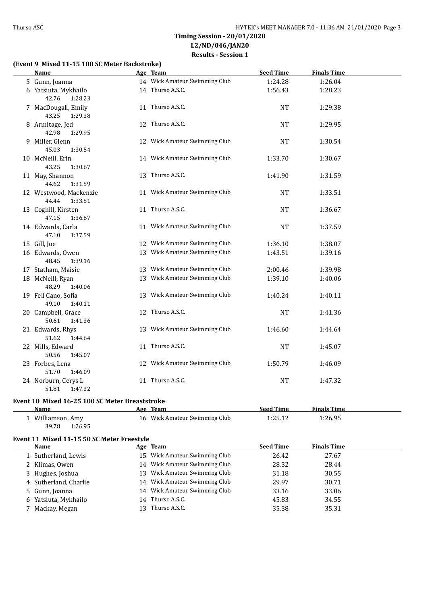#### **(Event 9 Mixed 11-15 100 SC Meter Backstroke)**

| <b>Name</b>                                | Age Team                      | <b>Seed Time</b> | <b>Finals Time</b> |  |
|--------------------------------------------|-------------------------------|------------------|--------------------|--|
| 5 Gunn, Joanna                             | 14 Wick Amateur Swimming Club | 1:24.28          | 1:26.04            |  |
| 6 Yatsiuta, Mykhailo<br>42.76<br>1:28.23   | 14 Thurso A.S.C.              | 1:56.43          | 1:28.23            |  |
| 7 MacDougall, Emily<br>43.25<br>1:29.38    | 11 Thurso A.S.C.              | NT               | 1:29.38            |  |
| 8 Armitage, Jed<br>42.98<br>1:29.95        | 12 Thurso A.S.C.              | <b>NT</b>        | 1:29.95            |  |
| 9 Miller, Glenn<br>45.03<br>1:30.54        | 12 Wick Amateur Swimming Club | <b>NT</b>        | 1:30.54            |  |
| 10 McNeill, Erin<br>43.25<br>1:30.67       | 14 Wick Amateur Swimming Club | 1:33.70          | 1:30.67            |  |
| 11 May, Shannon<br>44.62<br>1:31.59        | 13 Thurso A.S.C.              | 1:41.90          | 1:31.59            |  |
| 12 Westwood, Mackenzie<br>44.44<br>1:33.51 | 11 Wick Amateur Swimming Club | <b>NT</b>        | 1:33.51            |  |
| 13 Coghill, Kirsten<br>47.15<br>1:36.67    | 11 Thurso A.S.C.              | <b>NT</b>        | 1:36.67            |  |
| 14 Edwards, Carla<br>47.10<br>1:37.59      | 11 Wick Amateur Swimming Club | <b>NT</b>        | 1:37.59            |  |
| 15 Gill, Joe                               | 12 Wick Amateur Swimming Club | 1:36.10          | 1:38.07            |  |
| 16 Edwards, Owen<br>48.45<br>1:39.16       | 13 Wick Amateur Swimming Club | 1:43.51          | 1:39.16            |  |
| 17 Statham, Maisie                         | 13 Wick Amateur Swimming Club | 2:00.46          | 1:39.98            |  |
| 18 McNeill, Ryan<br>48.29<br>1:40.06       | 13 Wick Amateur Swimming Club | 1:39.10          | 1:40.06            |  |
| 19 Fell Cano, Sofia<br>49.10<br>1:40.11    | 13 Wick Amateur Swimming Club | 1:40.24          | 1:40.11            |  |
| 20 Campbell, Grace<br>50.61<br>1:41.36     | 12 Thurso A.S.C.              | <b>NT</b>        | 1:41.36            |  |
| 21 Edwards, Rhys<br>51.62<br>1:44.64       | 13 Wick Amateur Swimming Club | 1:46.60          | 1:44.64            |  |
| 22 Mills, Edward<br>50.56<br>1:45.07       | 11 Thurso A.S.C.              | <b>NT</b>        | 1:45.07            |  |
| 23 Forbes, Lena<br>51.70<br>1:46.09        | 12 Wick Amateur Swimming Club | 1:50.79          | 1:46.09            |  |
| 24 Norburn, Cerys L<br>1:47.32<br>51.81    | 11 Thurso A.S.C.              | NT               | 1:47.32            |  |

# **Event 10 Mixed 16-25 100 SC Meter Breaststroke**

| Name             | Team<br>Age                   | <b>Seed Time</b> | <b>Finals Time</b> |  |
|------------------|-------------------------------|------------------|--------------------|--|
| Williamson, Amy  | 16 Wick Amateur Swimming Club | 1:25.12          | 1:26.95            |  |
| 1:26.95<br>39.78 |                               |                  |                    |  |

#### **Event 11 Mixed 11-15 50 SC Meter Freestyle**

| Name                  | Age Team                      | <b>Seed Time</b> | <b>Finals Time</b> |
|-----------------------|-------------------------------|------------------|--------------------|
| 1 Sutherland, Lewis   | 15 Wick Amateur Swimming Club | 26.42            | 27.67              |
| 2 Klimas, Owen        | 14 Wick Amateur Swimming Club | 28.32            | 28.44              |
| 3 Hughes, Joshua      | 13 Wick Amateur Swimming Club | 31.18            | 30.55              |
| 4 Sutherland, Charlie | 14 Wick Amateur Swimming Club | 29.97            | 30.71              |
| 5 Gunn, Joanna        | 14 Wick Amateur Swimming Club | 33.16            | 33.06              |
| 6 Yatsiuta, Mykhailo  | 14 Thurso A.S.C.              | 45.83            | 34.55              |
| 7 Mackay, Megan       | Thurso A.S.C.                 | 35.38            | 35.31              |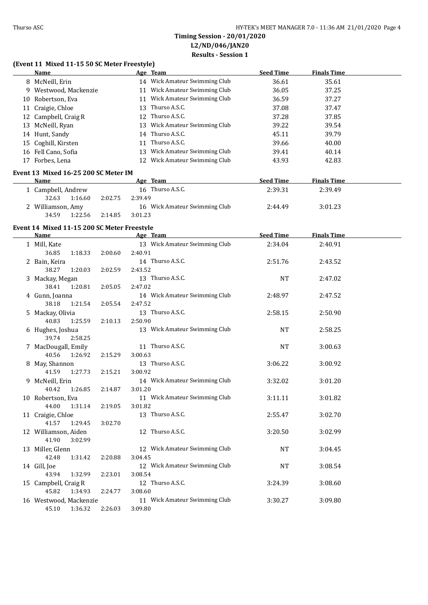### **(Event 11 Mixed 11-15 50 SC Meter Freestyle)**

| <b>Name</b>                                 |         | Age Team                      | <b>Seed Time</b> | <b>Finals Time</b> |  |
|---------------------------------------------|---------|-------------------------------|------------------|--------------------|--|
| 8 McNeill, Erin                             |         | 14 Wick Amateur Swimming Club | 36.61            | 35.61              |  |
| 9 Westwood, Mackenzie                       |         | 11 Wick Amateur Swimming Club | 36.05            | 37.25              |  |
| 10 Robertson, Eva                           |         | 11 Wick Amateur Swimming Club | 36.59            | 37.27              |  |
| 11 Craigie, Chloe                           |         | 13 Thurso A.S.C.              | 37.08            | 37.47              |  |
| 12 Campbell, Craig R                        |         | 12 Thurso A.S.C.              | 37.28            | 37.85              |  |
| 13 McNeill, Ryan                            |         | 13 Wick Amateur Swimming Club | 39.22            | 39.54              |  |
| 14 Hunt, Sandy                              |         | 14 Thurso A.S.C.              | 45.11            | 39.79              |  |
| 15 Coghill, Kirsten                         |         | 11 Thurso A.S.C.              | 39.66            | 40.00              |  |
| 16 Fell Cano, Sofia                         |         | 13 Wick Amateur Swimming Club | 39.41            | 40.14              |  |
| 17 Forbes, Lena                             |         | 12 Wick Amateur Swimming Club | 43.93            | 42.83              |  |
|                                             |         |                               |                  |                    |  |
| Event 13 Mixed 16-25 200 SC Meter IM        |         |                               |                  |                    |  |
| Name                                        |         | Age Team                      | <b>Seed Time</b> | <b>Finals Time</b> |  |
| 1 Campbell, Andrew                          |         | 16 Thurso A.S.C.              | 2:39.31          | 2:39.49            |  |
| 32.63<br>1:16.60                            | 2:02.75 | 2:39.49                       |                  |                    |  |
| 2 Williamson, Amy                           |         | 16 Wick Amateur Swimming Club | 2:44.49          | 3:01.23            |  |
| 34.59<br>1:22.56                            | 2:14.85 | 3:01.23                       |                  |                    |  |
| Event 14 Mixed 11-15 200 SC Meter Freestyle |         |                               |                  |                    |  |
| <b>Name</b>                                 |         | Age Team 1999                 | <b>Seed Time</b> | <b>Finals Time</b> |  |
| 1 Mill, Kate                                |         | 13 Wick Amateur Swimming Club | 2:34.04          | 2:40.91            |  |
| 36.85<br>1:18.33                            | 2:00.60 | 2:40.91                       |                  |                    |  |
| 2 Bain, Keira                               |         | 14 Thurso A.S.C.              | 2:51.76          | 2:43.52            |  |
| 38.27<br>1:20.03                            | 2:02.59 | 2:43.52                       |                  |                    |  |
| 3 Mackay, Megan                             |         | 13 Thurso A.S.C.              | <b>NT</b>        | 2:47.02            |  |
| 38.41<br>1:20.81                            | 2:05.05 | 2:47.02                       |                  |                    |  |
| 4 Gunn, Joanna                              |         | 14 Wick Amateur Swimming Club | 2:48.97          | 2:47.52            |  |
| 38.18<br>1:21.54                            | 2:05.54 | 2:47.52                       |                  |                    |  |
| 5 Mackay, Olivia                            |         | 13 Thurso A.S.C.              | 2:58.15          | 2:50.90            |  |
| 40.83<br>1:25.59                            | 2:10.13 | 2:50.90                       |                  |                    |  |
| 6 Hughes, Joshua                            |         | 13 Wick Amateur Swimming Club | NT               | 2:58.25            |  |
| 39.74<br>2:58.25                            |         |                               |                  |                    |  |
| 7 MacDougall, Emily                         |         | 11 Thurso A.S.C.              | NT               | 3:00.63            |  |
| 40.56<br>1:26.92                            | 2:15.29 | 3:00.63                       |                  |                    |  |
| 8 May, Shannon                              |         | 13 Thurso A.S.C.              | 3:06.22          | 3:00.92            |  |
| 41.59<br>1:27.73                            | 2:15.21 | 3:00.92                       |                  |                    |  |
| 9 McNeill, Erin                             |         | 14 Wick Amateur Swimming Club | 3:32.02          | 3:01.20            |  |
| 40.42 1:26.85                               | 2:14.87 | 3:01.20                       |                  |                    |  |
| 10 Robertson, Eva                           |         | 11 Wick Amateur Swimming Club | 3:11.11          | 3:01.82            |  |
| 44.00<br>1:31.14                            | 2:19.05 | 3:01.82                       |                  |                    |  |
| 11 Craigie, Chloe                           |         | 13 Thurso A.S.C.              | 2:55.47          | 3:02.70            |  |
| 41.57<br>1:29.45                            | 3:02.70 |                               |                  |                    |  |
| 12 Williamson, Aiden                        |         | 12 Thurso A.S.C.              | 3:20.50          | 3:02.99            |  |
| 41.90<br>3:02.99                            |         |                               |                  |                    |  |
| 13 Miller, Glenn                            |         | 12 Wick Amateur Swimming Club | NT               | 3:04.45            |  |
| 42.48<br>1:31.42                            | 2:20.88 | 3:04.45                       |                  |                    |  |
| 14 Gill, Joe                                |         | 12 Wick Amateur Swimming Club | NT               | 3:08.54            |  |
| 43.94<br>1:32.99                            | 2:23.01 | 3:08.54                       |                  |                    |  |
| 15 Campbell, Craig R                        |         | 12 Thurso A.S.C.              | 3:24.39          | 3:08.60            |  |
| 45.82<br>1:34.93                            | 2:24.77 | 3:08.60                       |                  |                    |  |
| 16 Westwood, Mackenzie                      |         | 11 Wick Amateur Swimming Club | 3:30.27          | 3:09.80            |  |
| 45.10<br>1:36.32                            | 2:26.03 | 3:09.80                       |                  |                    |  |